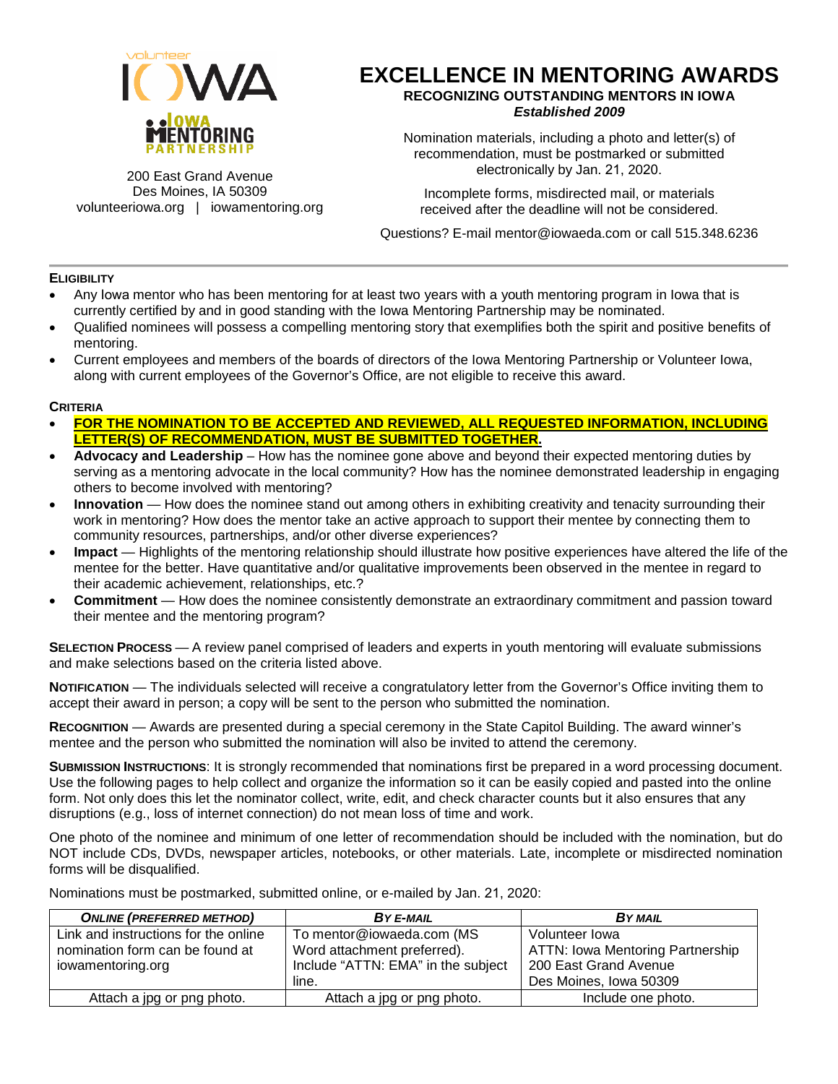

200 East Grand Avenue Des Moines, IA 50309 volunteeriowa.org | iowamentoring.org

## **EXCELLENCE IN MENTORING AWARDS**

**RECOGNIZING OUTSTANDING MENTORS IN IOWA** *Established 2009*

Nomination materials, including a photo and letter(s) of recommendation, must be postmarked or submitted electronically by Jan. 21, 2020.

Incomplete forms, misdirected mail, or materials received after the deadline will not be considered.

Questions? E-mail mentor@iowaeda.com or call 515.348.6236

## **ELIGIBILITY**

- Any Iowa mentor who has been mentoring for at least two years with a youth mentoring program in Iowa that is currently certified by and in good standing with the Iowa Mentoring Partnership may be nominated.
- Qualified nominees will possess a compelling mentoring story that exemplifies both the spirit and positive benefits of mentoring.
- Current employees and members of the boards of directors of the Iowa Mentoring Partnership or Volunteer Iowa, along with current employees of the Governor's Office, are not eligible to receive this award.

## **CRITERIA**

- **FOR THE NOMINATION TO BE ACCEPTED AND REVIEWED, ALL REQUESTED INFORMATION, INCLUDING LETTER(S) OF RECOMMENDATION, MUST BE SUBMITTED TOGETHER.**
- **Advocacy and Leadership** How has the nominee gone above and beyond their expected mentoring duties by serving as a mentoring advocate in the local community? How has the nominee demonstrated leadership in engaging others to become involved with mentoring?
- **Innovation** How does the nominee stand out among others in exhibiting creativity and tenacity surrounding their work in mentoring? How does the mentor take an active approach to support their mentee by connecting them to community resources, partnerships, and/or other diverse experiences?
- **Impact** Highlights of the mentoring relationship should illustrate how positive experiences have altered the life of the mentee for the better. Have quantitative and/or qualitative improvements been observed in the mentee in regard to their academic achievement, relationships, etc.?
- **Commitment** How does the nominee consistently demonstrate an extraordinary commitment and passion toward their mentee and the mentoring program?

**SELECTION PROCESS** *—* A review panel comprised of leaders and experts in youth mentoring will evaluate submissions and make selections based on the criteria listed above.

**NOTIFICATION** *—* The individuals selected will receive a congratulatory letter from the Governor's Office inviting them to accept their award in person; a copy will be sent to the person who submitted the nomination.

**RECOGNITION** — Awards are presented during a special ceremony in the State Capitol Building. The award winner's mentee and the person who submitted the nomination will also be invited to attend the ceremony.

**SUBMISSION INSTRUCTIONS**: It is strongly recommended that nominations first be prepared in a word processing document. Use the following pages to help collect and organize the information so it can be easily copied and pasted into the online form. Not only does this let the nominator collect, write, edit, and check character counts but it also ensures that any disruptions (e.g., loss of internet connection) do not mean loss of time and work.

One photo of the nominee and minimum of one letter of recommendation should be included with the nomination, but do NOT include CDs, DVDs, newspaper articles, notebooks, or other materials. Late, incomplete or misdirected nomination forms will be disqualified.

Nominations must be postmarked, submitted online, or e-mailed by Jan. 21, 2020:

| <b>ONLINE (PREFERRED METHOD)</b>     | BY E-MAIL                          | <b>BY MAIL</b>                          |
|--------------------------------------|------------------------------------|-----------------------------------------|
| Link and instructions for the online | To mentor@iowaeda.com (MS          | Volunteer lowa                          |
| nomination form can be found at      | Word attachment preferred).        | <b>ATTN: Iowa Mentoring Partnership</b> |
| iowamentoring.org                    | Include "ATTN: EMA" in the subject | 200 East Grand Avenue                   |
|                                      | line.                              | Des Moines, Iowa 50309                  |
| Attach a jpg or png photo.           | Attach a jpg or png photo.         | Include one photo.                      |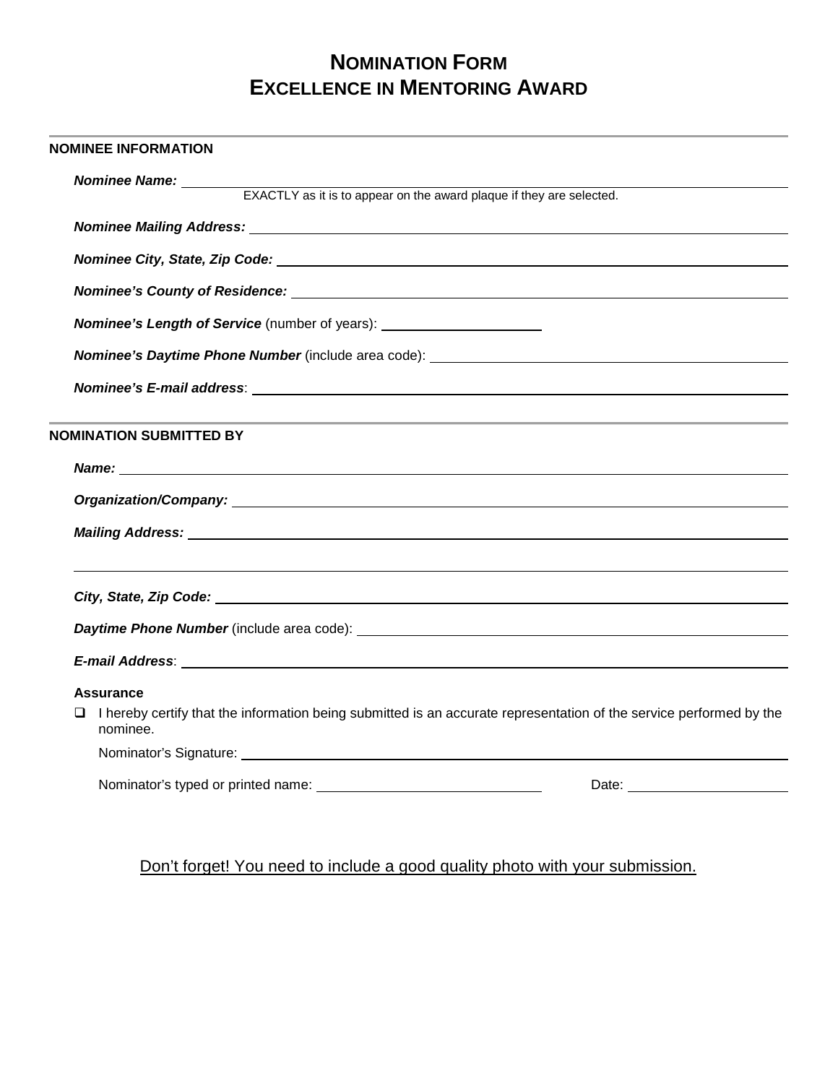## **NOMINATION FORM EXCELLENCE IN MENTORING AWARD**

| <b>NOMINEE INFORMATION</b>                                                                                                                                                                                                     |  |  |
|--------------------------------------------------------------------------------------------------------------------------------------------------------------------------------------------------------------------------------|--|--|
|                                                                                                                                                                                                                                |  |  |
| <b>Nominee Name:</b><br>EXACTLY as it is to appear on the award plaque if they are selected.                                                                                                                                   |  |  |
|                                                                                                                                                                                                                                |  |  |
|                                                                                                                                                                                                                                |  |  |
| Nominee's County of Residence: North States and States and States and States and States and States and States and States and States and States and States and States and States and States and States and States and States an |  |  |
| Nominee's Length of Service (number of years): _________________________________                                                                                                                                               |  |  |
|                                                                                                                                                                                                                                |  |  |
|                                                                                                                                                                                                                                |  |  |
|                                                                                                                                                                                                                                |  |  |
| <b>NOMINATION SUBMITTED BY</b>                                                                                                                                                                                                 |  |  |
|                                                                                                                                                                                                                                |  |  |
|                                                                                                                                                                                                                                |  |  |
|                                                                                                                                                                                                                                |  |  |
|                                                                                                                                                                                                                                |  |  |
|                                                                                                                                                                                                                                |  |  |
|                                                                                                                                                                                                                                |  |  |
|                                                                                                                                                                                                                                |  |  |
| <b>Assurance</b>                                                                                                                                                                                                               |  |  |
| I hereby certify that the information being submitted is an accurate representation of the service performed by the<br>⊔<br>nominee.                                                                                           |  |  |
|                                                                                                                                                                                                                                |  |  |
|                                                                                                                                                                                                                                |  |  |

Don't forget! You need to include a good quality photo with your submission.